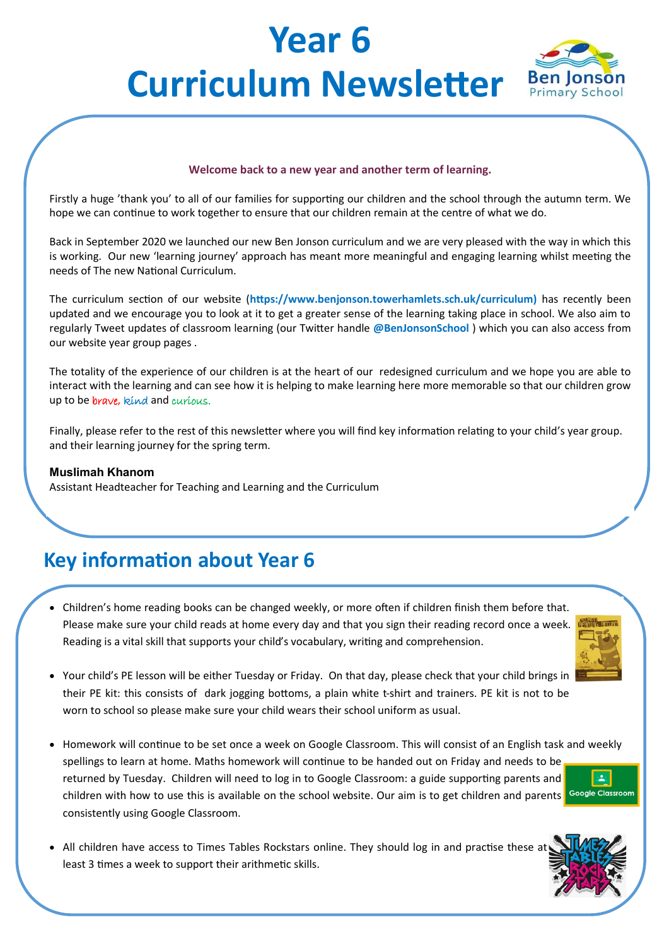# **Year 6 Curriculum Newsletter Ben Jonson**



#### **Welcome back to a new year and another term of learning.**

Firstly a huge 'thank you' to all of our families for supporting our children and the school through the autumn term. We hope we can continue to work together to ensure that our children remain at the centre of what we do.

Back in September 2020 we launched our new Ben Jonson curriculum and we are very pleased with the way in which this is working. Our new 'learning journey' approach has meant more meaningful and engaging learning whilst meeting the needs of The new National Curriculum.

The curriculum section of our website (**https://www.benjonson.towerhamlets.sch.uk/curriculum)** has recently been updated and we encourage you to look at it to get a greater sense of the learning taking place in school. We also aim to regularly Tweet updates of classroom learning (our Twitter handle **@BenJonsonSchool** ) which you can also access from our website year group pages .

The totality of the experience of our children is at the heart of our redesigned curriculum and we hope you are able to interact with the learning and can see how it is helping to make learning here more memorable so that our children grow up to be *brave*, kind and *curious*.

Finally, please refer to the rest of this newsletter where you will find key information relating to your child's year group. and their learning journey for the spring term.

#### **Muslimah Khanom**

Assistant Headteacher for Teaching and Learning and the Curriculum

### **Key information about Year 6**

• Children's home reading books can be changed weekly, or more often if children finish them before that. Please make sure your child reads at home every day and that you sign their reading record once a week. Reading is a vital skill that supports your child's vocabulary, writing and comprehension.



- Your child's PE lesson will be either Tuesday or Friday. On that day, please check that your child brings in their PE kit: this consists of dark jogging bottoms, a plain white t-shirt and trainers. PE kit is not to be worn to school so please make sure your child wears their school uniform as usual.
- Homework will continue to be set once a week on Google Classroom. This will consist of an English task and weekly spellings to learn at home. Maths homework will continue to be handed out on Friday and needs to be  $\mathbf{L}$ returned by Tuesday. Children will need to log in to Google Classroom: a guide supporting parents and children with how to use this is available on the school website. Our aim is to get children and parents Google Classroom consistently using Google Classroom.
	-
- All children have access to Times Tables Rockstars online. They should log in and practise these at least 3 times a week to support their arithmetic skills.